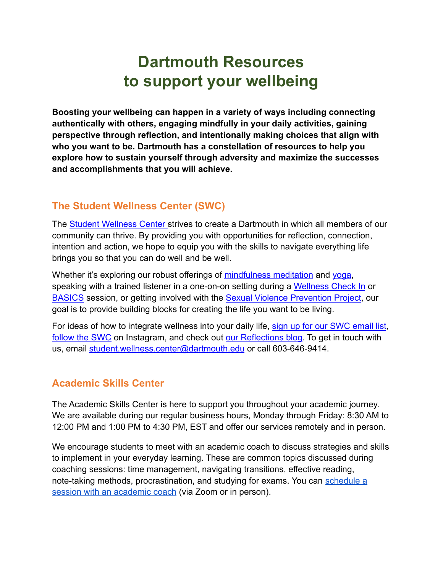# **Dartmouth Resources to support your wellbeing**

**Boosting your wellbeing can happen in a variety of ways including connecting authentically with others, engaging mindfully in your daily activities, gaining perspective through reflection, and intentionally making choices that align with who you want to be. Dartmouth has a constellation of resources to help you explore how to sustain yourself through adversity and maximize the successes and accomplishments that you will achieve.**

# **The Student Wellness Center (SWC)**

The [Student Wellness Center](https://students.dartmouth.edu/wellness-center/) strives to create a Dartmouth in which all members of our community can thrive. By providing you with opportunities for reflection, connection, intention and action, we hope to equip you with the skills to navigate everything life brings you so that you can do well and be well.

Whether it's exploring our robust offerings of [mindfulness](https://students.dartmouth.edu/wellness-center/wellness-mindfulness/mindfulness-meditation) meditation and [yoga,](https://students.dartmouth.edu/wellness-center/wellness-mindfulness/yoga) speaking with a trained listener in a one-on-on setting during a [Wellness Check In](https://students.dartmouth.edu/wellness-center/wellness-mindfulness/wellness-check-ins) or [BASICS](https://students.dartmouth.edu/wellness-center/prevention-education/alcohol-other-drugs/basics) session, or getting involved with the Sexual [Violence Prevention Project](https://students.dartmouth.edu/wellness-center/prevention-education/sexual-violence-prevention-project), our goal is to provide building blocks for creating the life you want to be living.

For ideas of how to integrate wellness into your daily life, [sign up for our SWC email list](http://eepurl.com/g7X2FP), [follow the SWC](https://www.instagram.com/dartmouthswc/) on Instagram, and check out [our Reflections](https://sites.dartmouth.edu/swc/) blog. To get in touch with us, email [student.wellness.center@dartmouth.edu](mailto:student.wellness.center@dartmouth.edu) or call 603-646-9414.

#### **Academic Skills Center**

The Academic Skills Center is here to support you throughout your academic journey. We are available during our regular business hours, Monday through Friday: 8:30 AM to 12:00 PM and 1:00 PM to 4:30 PM, EST and offer our services remotely and in person.

We encourage students to meet with an academic coach to discuss strategies and skills to implement in your everyday learning. These are common topics discussed during coaching sessions: time management, navigating transitions, effective reading, note-taking methods, procrastination, and studying for exams. You can [schedule a](https://students.dartmouth.edu/academic-skills/programs/academic-coaching) [session with an academic coach](https://students.dartmouth.edu/academic-skills/programs/academic-coaching) (via Zoom or in person).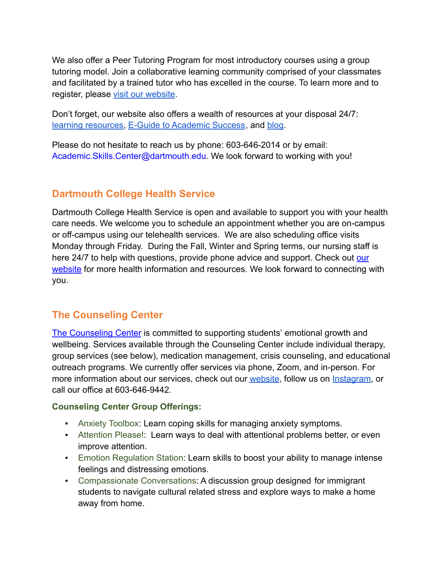We also offer a Peer Tutoring Program for most introductory courses using a group tutoring model. Join a collaborative learning community comprised of your classmates and facilitated by a trained tutor who has excelled in the course. To learn more and to register, please [visit our website](https://students.dartmouth.edu/academic-skills/tutor-clearinghouse/about-tutor-clearinghouse).

Don't forget, our website also offers a wealth of resources at your disposal 24/7[:](https://students.dartmouth.edu/academic-skills/learning-resources/learning-strategies) [learning resources,](https://students.dartmouth.edu/academic-skills/learning-resources/learning-strategies) [E-Guide to Academic Success](https://students.dartmouth.edu/academic-skills/learning-resources/campus-resources/e-guide-academic-success), and [blog](https://sites.dartmouth.edu/learning/).

Please do not hesitate to reach us by phone: 603-646-2014 or by email: Academic.Skills.Center@dartmouth.edu. We look forward to working with you!

#### **Dartmouth College Health Service**

Dartmouth College Health Service is open and available to support you with your health care needs. We welcome you to schedule an appointment whether you are on-campus or off-campus using our telehealth services. We are also scheduling office visits Monday through Friday. During the Fall, Winter and Spring terms, our nursing staff is here 24/7 to help with questions, provide phone advice and support. Check out [our](https://students.dartmouth.edu/health-service/) [website](https://students.dartmouth.edu/health-service/) for more health information and resources. We look forward to connecting with you.

#### **The Counseling Center**

[The Counseling Center](https://students.dartmouth.edu/health-service/counseling/about) is committed to supporting students' emotional growth and wellbeing. Services available through the Counseling Center include individual therapy, group services (see below), medication management, crisis counseling, and educational outreach programs. We currently offer services via phone, Zoom, and in-person. For more information about our services, check out our [website](https://students.dartmouth.edu/health-service/counseling/about/clinical-services), follow us on [Instagram,](https://www.instagram.com/dartmouthcounseling/?hl=en) or call our office at 603-646-9442.

#### **Counseling Center Group Offerings:**

- Anxiety Toolbox: Learn coping skills for managing anxiety symptoms.
- **EXTENT** Attention Please!: Learn ways to deal with attentional problems better, or even improve attention.
- **Emotion Regulation Station: Learn skills to boost your ability to manage intense** feelings and distressing emotions.
- Compassionate Conversations: A discussion group designed for immigrant students to navigate cultural related stress and explore ways to make a home away from home.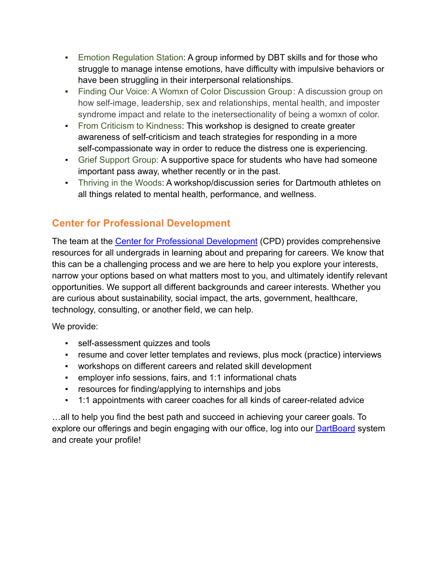- **Emotion Regulation Station: A group informed by DBT skills and for those who** struggle to manage intense emotions, have difficulty with impulsive behaviors or have been struggling in their interpersonal relationships.
- **Example 2** Finding Our Voice: A Womxn of Color Discussion Group: A discussion group on how self-image, leadership, sex and relationships, mental health, and imposter syndrome impact and relate to the inetersectionality of being a womxn of color.
- **From Criticism to Kindness: This workshop is designed to create greater** awareness of self-criticism and teach strategies for responding in a more self-compassionate way in order to reduce the distress one is experiencing.
- **Grief Support Group: A supportive space for students who have had someone** important pass away, whether recently or in the past.
- **Thriving in the Woods: A workshop/discussion series for Dartmouth athletes on** all things related to mental health, performance, and wellness.

# **Center for Professional Development**

The team at the [Center for Professional Development](https://sites.dartmouth.edu/cpd/) (CPD) provides comprehensive resources for all undergrads in learning about and preparing for careers. We know that this can be a challenging process and we are here to help you explore your interests, narrow your options based on what matters most to you, and ultimately identify relevant opportunities. We support all different backgrounds and career interests. Whether you are curious about sustainability, social impact, the arts, government, healthcare, technology, consulting, or another field, we can help.

We provide:

- **EXECTE:** self-assessment quizzes and tools
- resume and cover letter templates and reviews, plus mock (practice) interviews
- workshops on different careers and related skill development
- employer info sessions, fairs, and 1:1 informational chats
- **•** resources for finding/applying to internships and jobs
- 1:1 appointments with career coaches for all kinds of career-related advice

…all to help you find the best path and succeed in achieving your career goals. To explore our offerings and begin engaging with our office, log into our **[DartBoard](https://candidate.gradleaders.com/DartmouthU/Candidates/Login.aspx?pid=2911&companyEventID=75062)** system and create your profile!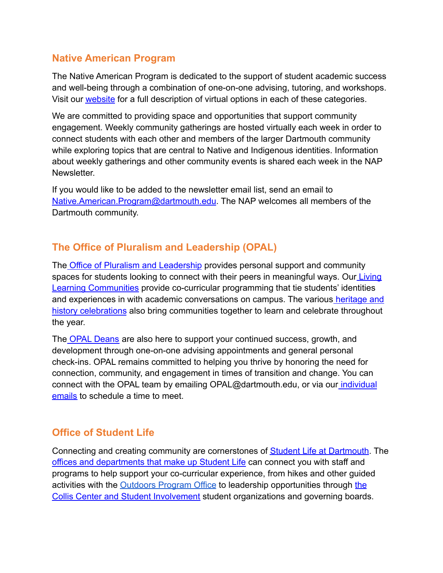#### **Native American Program**

The Native American Program is dedicated to the support of student academic success and well-being through a combination of one-on-one advising, tutoring, and workshops. Visit our [website](https://students.dartmouth.edu/nap/programs-initiatives/advising-tutoring) for a full description of virtual options in each of these categories.

We are committed to providing space and opportunities that support community engagement. Weekly community gatherings are hosted virtually each week in order to connect students with each other and members of the larger Dartmouth community while exploring topics that are central to Native and Indigenous identities. Information about weekly gatherings and other community events is shared each week in the NAP **Newsletter** 

If you would like to be added to the newsletter email list, send an email to [Native.American.Program@dartmouth.edu.](mailto:Native.American.Program@dartmouth.edu) The NAP welcomes all members of the Dartmouth community.

# **The Office of Pluralism and Leadership (OPAL)**

The [Office of Pluralism and Leadership](https://students.dartmouth.edu/opal/) provides personal support and community spaces for students looking to connect with their peers in meaningful ways. Our [Living](https://students.dartmouth.edu/opal/community-leadership/llcaffinity-houses) [Learning Communities](https://students.dartmouth.edu/opal/community-leadership/llcaffinity-houses) provide co-curricular programming that tie students' identities and experiences in with academic conversations on campus. The various [heritage and](https://students.dartmouth.edu/opal/community-leadership/heritage-history-celebrations) [history celebrations](https://students.dartmouth.edu/opal/community-leadership/heritage-history-celebrations) also bring communities together to learn and celebrate throughout the year.

The [OPAL Deans](https://students.dartmouth.edu/opal/advising/meet-opal-deans) are also here to support your continued success, growth, and development through one-on-one advising appointments and general personal check-ins. OPAL remains committed to helping you thrive by honoring the need for connection, community, and engagement in times of transition and change. You can connect with the OPAL team by emailing OPAL@dartmouth.edu, or via our [individual](https://students.dartmouth.edu/opal/about/people) [emails](https://students.dartmouth.edu/opal/about/people) to schedule a time to meet.

#### **Office of Student Life**

Connecting and creating community are cornerstones of [Student Life at Dartmouth](https://students.dartmouth.edu/student-life/). The [offices and departments that make up Student Life](https://students.dartmouth.edu/student-life/) can connect you with staff and programs to help support your co-curricular experience, from hikes and other guided activities with [the](https://students.dartmouth.edu/collis/organizations/student-organizations-governing-boards) **[Outdoors Program Office](https://outdoors.dartmouth.edu/opo/)** to leadership opportunities through the [Collis Center and Student Involvement](https://students.dartmouth.edu/collis/organizations/student-organizations-governing-boards) student organizations and governing boards.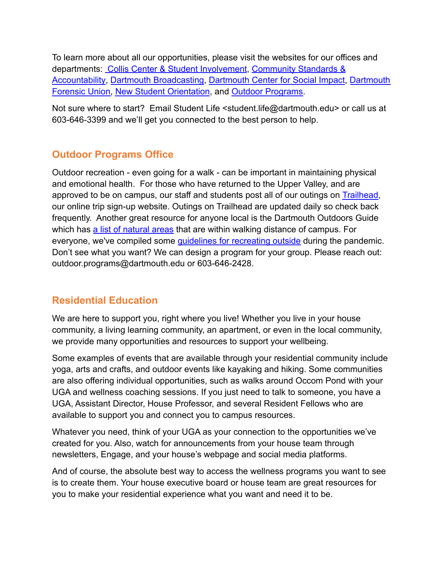To learn more about all our opportunities, please visit the websites for our offices and departments: [Collis Center & Student Involvement](https://students.dartmouth.edu/collis/), [Community Standards &](https://students.dartmouth.edu/community-standards/) [Accountability](https://students.dartmouth.edu/community-standards/), [Dartmouth Broadcasting](http://www.wfrd.com/), Dartmouth [Center for Social Impact,](https://students.dartmouth.edu/social-impact/) [Dartmouth](https://students.dartmouth.edu/forensic-union) [Forensic Union,](https://students.dartmouth.edu/forensic-union) [New Student Orientation](http://dartmouth.edu/orientation), and Outdoor [Programs.](https://outdoors.dartmouth.edu/)

Not sure where to start? Email Student Life <student.life@dartmouth.edu> or call us at 603-646-3399 and we'll get you connected to the best person to help.

# **Outdoor Programs Office**

Outdoor recreation - even going for a walk - can be important in maintaining physical and emotional health. For those who have returned to the Upper Valley, and are approved to be on campus, our staff and students post all of our outings on [Trailhead,](https://doc.dartmouth.edu/) our online trip sign-up website. Outings on Trailhead are updated daily so check back frequently. Another great resource for anyone local is the Dartmouth Outdoors Guide which has [a list of natural areas](https://outdoors.dartmouth.edu/activities/natural_areas/) that are within walking distance of campus. For everyone, we've compiled some [guidelines for recreating](https://outdoors.dartmouth.edu/opo/covid.html) outside during the pandemic. Don't see what you want? We can design a program for your group. Please reach out: outdoor.programs@dartmouth.edu or 603-646-2428.

#### **Residential Education**

We are here to support you, right where you live! Whether you live in your house community, a living learning community, an apartment, or even in the local community, we provide many opportunities and resources to support your wellbeing.

Some examples of events that are available through your residential community include yoga, arts and crafts, and outdoor events like kayaking and hiking. Some communities are also offering individual opportunities, such as walks around Occom Pond with your UGA and wellness coaching sessions. If you just need to talk to someone, you have a UGA, Assistant Director, House Professor, and several Resident Fellows who are available to support you and connect you to campus resources.

Whatever you need, think of your UGA as your connection to the opportunities we've created for you. Also, watch for announcements from your house team through newsletters, Engage, and your house's webpage and social media platforms.

And of course, the absolute best way to access the wellness programs you want to see is to create them. Your house executive board or house team are great resources for you to make your residential experience what you want and need it to be.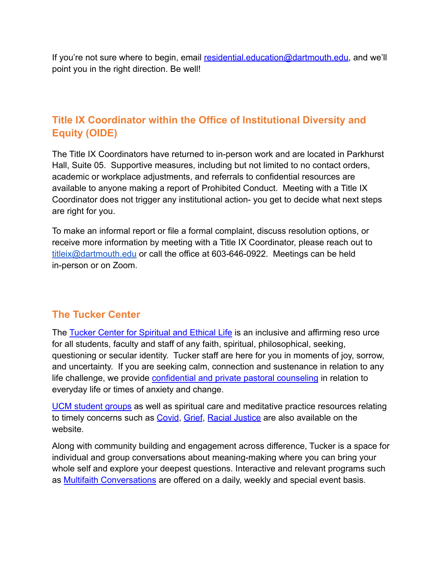If you're not sure where to begin, email [residential.education@dartmouth.edu,](mailto:residential.education@dartmouth.edu) and we'll point you in the right direction. Be well!

#### **Title IX Coordinator within the Office of Institutional Diversity and Equity (OIDE)**

The Title IX Coordinators have returned to in-person work and are located in Parkhurst Hall, Suite 05. Supportive measures, including but not limited to no contact orders, academic or workplace adjustments, and referrals to confidential resources are available to anyone making a report of Prohibited Conduct. Meeting with a Title IX Coordinator does not trigger any institutional action- you get to decide what next steps are right for you.

To make an informal report or file a formal complaint, discuss resolution options, or receive more information by meeting with a Title IX Coordinator, please reach out to [titleix@dartmouth.edu](mailto:titleix@dartmouth.edu) or call the office at 603-646-0922. Meetings can be held in-person or on Zoom.

#### **The Tucker Center**

The [Tucker Center for Spiritual and Ethical Life](https://students.dartmouth.edu/tucker/) is an inclusive and affirming reso urce for all students, faculty and staff of any faith, spiritual, philosophical, seeking, questioning or secular identity. Tucker staff are here for you in moments of joy, sorrow, and uncertainty. If you are seeking calm, connection and sustenance in relation to any life challenge, we provide [confidential and private](https://students.dartmouth.edu/tucker/about/pastoral-counseling) pastoral counseling in relation to everyday life or times of anxiety and change.

[UCM student groups](https://students.dartmouth.edu/tucker/spiritual-life/recognized-student-groups) as well as spiritual care and meditative practice resources relating to timely concerns such as [Covid](https://students.dartmouth.edu/tucker/spiritual-life/campus-and-community-resources/coronavirus-resources), [Grief](https://students.dartmouth.edu/tucker/spiritual-life/campus-and-community-resources/grief-resources), [Racial Justice](https://students.dartmouth.edu/tucker/spiritual-life/campus-and-community-resources/racial-justice-resources) are also available on the website.

Along with community building and engagement across difference, Tucker is a space for individual and group conversations about meaning-making where you can bring your whole self and explore your deepest questions. Interactive and relevant programs such as [Multifaith Conversations](https://students.dartmouth.edu/tucker/multi-faith-programs/on-campus-experiential-learning-programs/multi-faith-conversations) are offered on a daily, weekly and special event basis.